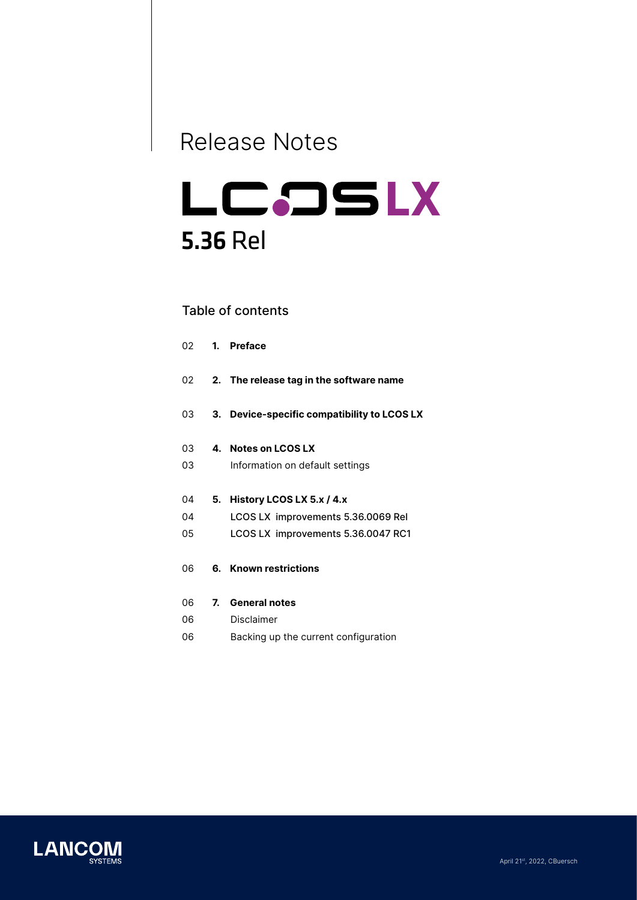# Release Notes

# LCDSLX 5.36 Rel

# Table of contents

| 02 | 1. | <b>Preface</b>                              |
|----|----|---------------------------------------------|
| 02 |    | 2. The release tag in the software name     |
| 03 |    | 3. Device-specific compatibility to LCOS LX |
| 03 |    | 4. Notes on LCOS LX                         |
| 03 |    | Information on default settings             |
| 04 | 5. | History LCOS LX 5.x / 4.x                   |
| 04 |    | LCOS LX improvements 5.36.0069 Rel          |
| 05 |    | LCOS LX improvements 5.36.0047 RC1          |
| 06 |    | 6. Known restrictions                       |
| 06 |    | 7. General notes                            |
| 06 |    | Disclaimer                                  |
| 06 |    | Backing up the current configuration        |

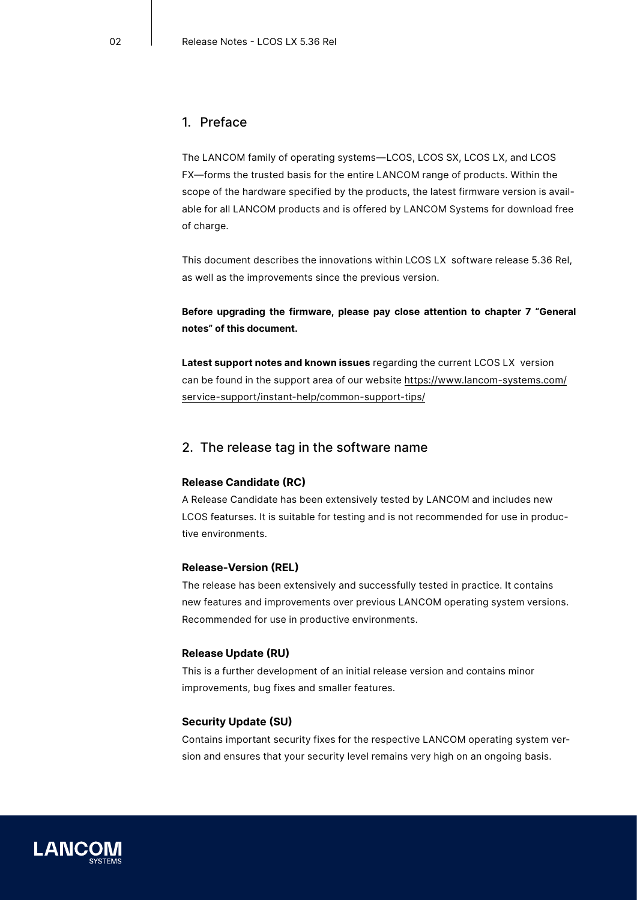# <span id="page-1-0"></span>1. Preface

The LANCOM family of operating systems—LCOS, LCOS SX, LCOS LX, and LCOS FX—forms the trusted basis for the entire LANCOM range of products. Within the scope of the hardware specified by the products, the latest firmware version is available for all LANCOM products and is offered by LANCOM Systems for download free of charge.

This document describes the innovations within LCOS LX software release 5.36 Rel, as well as the improvements since the previous version.

# **Before upgrading the firmware, please pay close attention to chapter 7 ["General](#page-5-1) [notes"](#page-5-1) of this document.**

**Latest support notes and known issues** regarding the current LCOS LX version can be found in the support area of our website https://www.lancom-systems.com/ service-support/instant-help/common-support-tips/

### 2. The release tag in the software name

#### **Release Candidate (RC)**

A Release Candidate has been extensively tested by LANCOM and includes new LCOS featurses. It is suitable for testing and is not recommended for use in productive environments.

#### **Release-Version (REL)**

The release has been extensively and successfully tested in practice. It contains new features and improvements over previous LANCOM operating system versions. Recommended for use in productive environments.

#### **Release Update (RU)**

This is a further development of an initial release version and contains minor improvements, bug fixes and smaller features.

#### **Security Update (SU)**

Contains important security fixes for the respective LANCOM operating system version and ensures that your security level remains very high on an ongoing basis.

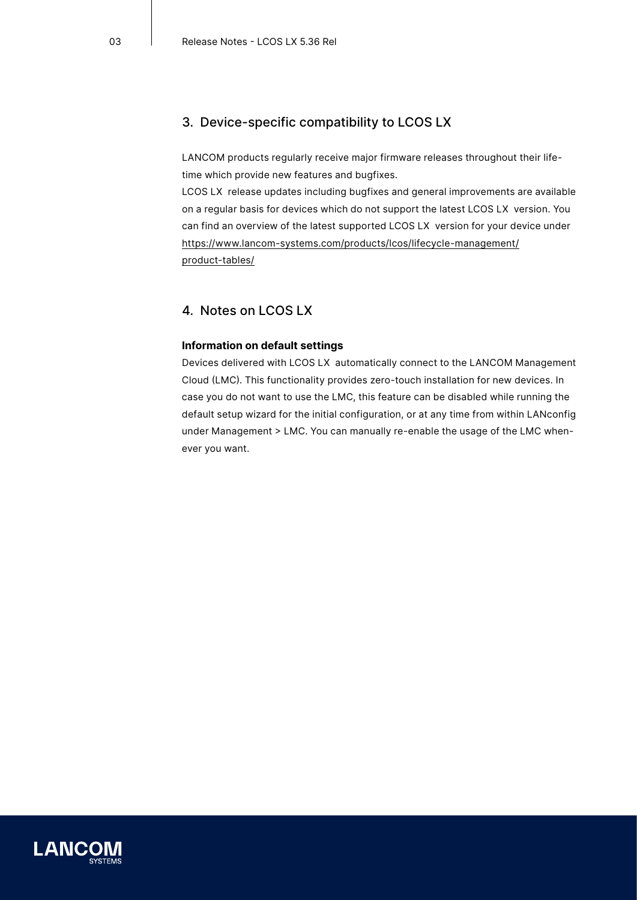# <span id="page-2-0"></span>3. Device-specific compatibility to LCOS LX

LANCOM products regularly receive major firmware releases throughout their lifetime which provide new features and bugfixes.

LCOS LX release updates including bugfixes and general improvements are available on a regular basis for devices which do not support the latest LCOS LX version. You can find an overview of the latest supported LCOS LX version for your device under https://www.lancom-systems.com/products/lcos/lifecycle-management/ product-tables/

# 4. Notes on LCOS LX

#### **Information on default settings**

Devices delivered with LCOS LX automatically connect to the LANCOM Management Cloud (LMC). This functionality provides zero-touch installation for new devices. In case you do not want to use the LMC, this feature can be disabled while running the default setup wizard for the initial configuration, or at any time from within LANconfig under Management > LMC. You can manually re-enable the usage of the LMC whenever you want.

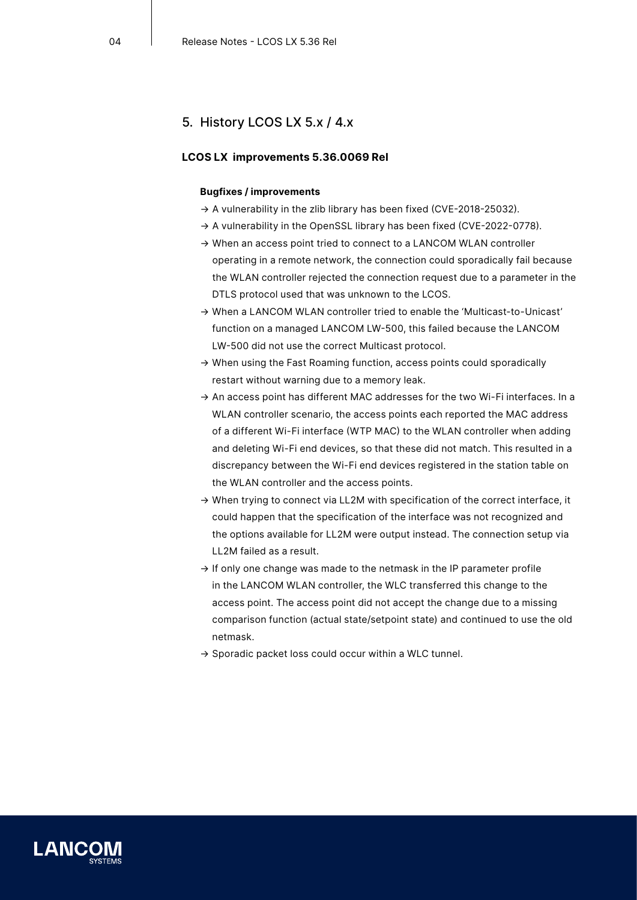# <span id="page-3-0"></span>5. History LCOS LX 5.x / 4.x

#### **LCOS LX improvements 5.36.0069 Rel**

#### **Bugfixes / improvements**

- → A vulnerability in the zlib library has been fixed (CVE-2018-25032).
- → A vulnerability in the OpenSSL library has been fixed (CVE-2022-0778).
- → When an access point tried to connect to a LANCOM WLAN controller operating in a remote network, the connection could sporadically fail because the WLAN controller rejected the connection request due to a parameter in the DTLS protocol used that was unknown to the LCOS.
- → When a LANCOM WLAN controller tried to enable the 'Multicast-to-Unicast' function on a managed LANCOM LW-500, this failed because the LANCOM LW-500 did not use the correct Multicast protocol.
- → When using the Fast Roaming function, access points could sporadically restart without warning due to a memory leak.
- $\rightarrow$  An access point has different MAC addresses for the two Wi-Fi interfaces. In a WLAN controller scenario, the access points each reported the MAC address of a different Wi-Fi interface (WTP MAC) to the WLAN controller when adding and deleting Wi-Fi end devices, so that these did not match. This resulted in a discrepancy between the Wi-Fi end devices registered in the station table on the WLAN controller and the access points.
- → When trying to connect via LL2M with specification of the correct interface, it could happen that the specification of the interface was not recognized and the options available for LL2M were output instead. The connection setup via LL2M failed as a result.
- $\rightarrow$  If only one change was made to the netmask in the IP parameter profile in the LANCOM WLAN controller, the WLC transferred this change to the access point. The access point did not accept the change due to a missing comparison function (actual state/setpoint state) and continued to use the old netmask.
- $\rightarrow$  Sporadic packet loss could occur within a WLC tunnel.

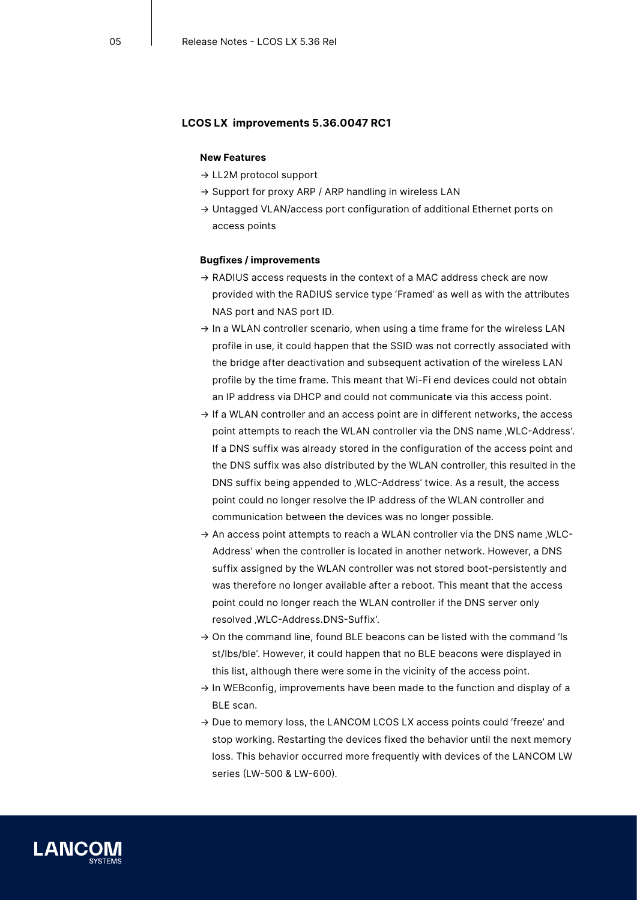#### <span id="page-4-0"></span>**LCOS LX improvements 5.36.0047 RC1**

#### **New Features**

- → LL2M protocol support
- → Support for proxy ARP / ARP handling in wireless LAN
- → Untagged VLAN/access port configuration of additional Ethernet ports on access points

#### **Bugfixes / improvements**

- $\rightarrow$  RADIUS access requests in the context of a MAC address check are now provided with the RADIUS service type 'Framed' as well as with the attributes NAS port and NAS port ID.
- $\rightarrow$  In a WLAN controller scenario, when using a time frame for the wireless LAN profile in use, it could happen that the SSID was not correctly associated with the bridge after deactivation and subsequent activation of the wireless LAN profile by the time frame. This meant that Wi-Fi end devices could not obtain an IP address via DHCP and could not communicate via this access point.
- $\rightarrow$  If a WLAN controller and an access point are in different networks, the access point attempts to reach the WLAN controller via the DNS name , WLC-Address'. If a DNS suffix was already stored in the configuration of the access point and the DNS suffix was also distributed by the WLAN controller, this resulted in the DNS suffix being appended to 'WLC-Address' twice. As a result, the access point could no longer resolve the IP address of the WLAN controller and communication between the devices was no longer possible.
- $\rightarrow$  An access point attempts to reach a WLAN controller via the DNS name , WLC-Address' when the controller is located in another network. However, a DNS suffix assigned by the WLAN controller was not stored boot-persistently and was therefore no longer available after a reboot. This meant that the access point could no longer reach the WLAN controller if the DNS server only resolved .WLC-Address.DNS-Suffix'.
- $\rightarrow$  On the command line, found BLE beacons can be listed with the command 'ls st/lbs/ble'. However, it could happen that no BLE beacons were displayed in this list, although there were some in the vicinity of the access point.
- → In WEBconfig, improvements have been made to the function and display of a BLE scan.
- $\rightarrow$  Due to memory loss, the LANCOM LCOS LX access points could 'freeze' and stop working. Restarting the devices fixed the behavior until the next memory loss. This behavior occurred more frequently with devices of the LANCOM LW series (LW-500 & LW-600).